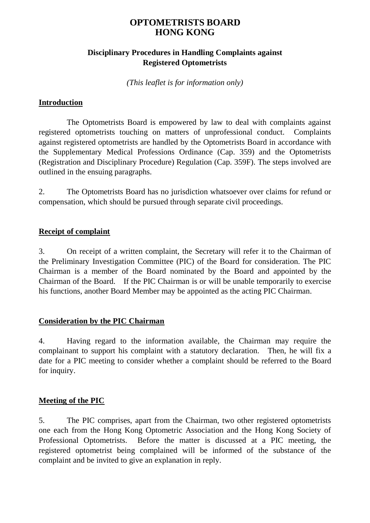# **OPTOMETRISTS BOARD HONG KONG**

### **Disciplinary Procedures in Handling Complaints against Registered Optometrists**

*(This leaflet is for information only)*

#### **Introduction**

The Optometrists Board is empowered by law to deal with complaints against registered optometrists touching on matters of unprofessional conduct. Complaints against registered optometrists are handled by the Optometrists Board in accordance with the Supplementary Medical Professions Ordinance (Cap. 359) and the Optometrists (Registration and Disciplinary Procedure) Regulation (Cap. 359F). The steps involved are outlined in the ensuing paragraphs.

2. The Optometrists Board has no jurisdiction whatsoever over claims for refund or compensation, which should be pursued through separate civil proceedings.

#### **Receipt of complaint**

3. On receipt of a written complaint, the Secretary will refer it to the Chairman of the Preliminary Investigation Committee (PIC) of the Board for consideration. The PIC Chairman is a member of the Board nominated by the Board and appointed by the Chairman of the Board. If the PIC Chairman is or will be unable temporarily to exercise his functions, another Board Member may be appointed as the acting PIC Chairman.

#### **Consideration by the PIC Chairman**

4. Having regard to the information available, the Chairman may require the complainant to support his complaint with a statutory declaration. Then, he will fix a date for a PIC meeting to consider whether a complaint should be referred to the Board for inquiry.

#### **Meeting of the PIC**

5. The PIC comprises, apart from the Chairman, two other registered optometrists one each from the Hong Kong Optometric Association and the Hong Kong Society of Professional Optometrists. Before the matter is discussed at a PIC meeting, the registered optometrist being complained will be informed of the substance of the complaint and be invited to give an explanation in reply.